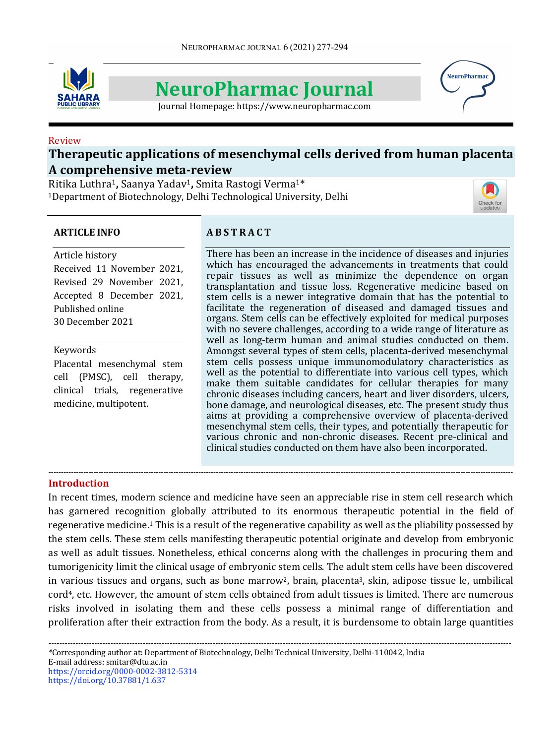

# **NeuroPharmac Journal**

Journal Homepage: https://www.neuropharmac.com

# Review

# **Therapeutic applications of mesenchymal cells derived from human placenta A comprehensive meta-review**

Ritika Luthra1**,** Saanya Yadav1**,** Smita Rastogi Verma1\* <sup>1</sup>Department of Biotechnology, Delhi Technological University, Delhi

# **ARTICLE INFO**

#### Article history

Received 11 November 2021, Revised 29 November 2021, Accepted 8 December 2021, Published online 30 December 2021

# Keywords

Placental mesenchymal stem cell (PMSC), cell therapy, clinical trials, regenerative medicine, multipotent.

# **A B S T R A C T**

There has been an increase in the incidence of diseases and injuries which has encouraged the advancements in treatments that could repair tissues as well as minimize the dependence on organ transplantation and tissue loss. Regenerative medicine based on stem cells is a newer integrative domain that has the potential to facilitate the regeneration of diseased and damaged tissues and organs. Stem cells can be effectively exploited for medical purposes with no severe challenges, according to a wide range of literature as well as long-term human and animal studies conducted on them. Amongst several types of stem cells, placenta-derived mesenchymal stem cells possess unique immunomodulatory characteristics as well as the potential to differentiate into various cell types, which make them suitable candidates for cellular therapies for many chronic diseases including cancers, heart and liver disorders, ulcers, bone damage, and neurological diseases, etc. The present study thus aims at providing a comprehensive overview of placenta-derived mesenchymal stem cells, their types, and potentially therapeutic for various chronic and non-chronic diseases. Recent pre-clinical and clinical studies conducted on them have also been incorporated.

#### **Introduction**

In recent times, modern science and medicine have seen an appreciable rise in stem cell research which has garnered recognition globally attributed to its enormous therapeutic potential in the field of regenerative medicine.<sup>1</sup> This is a result of the regenerative capability as well as the pliability possessed by the stem cells. These stem cells manifesting therapeutic potential originate and develop from embryonic as well as adult tissues. Nonetheless, ethical concerns along with the challenges in procuring them and tumorigenicity limit the clinical usage of embryonic stem cells. The adult stem cells have been discovered in various tissues and organs, such as bone marrow<sup>2</sup>, brain, placenta<sup>3</sup>, skin, adipose tissue le, umbilical cord<sup>4</sup>, etc. However, the amount of stem cells obtained from adult tissues is limited. There are numerous risks involved in isolating them and these cells possess a minimal range of differentiation and proliferation after their extraction from the body. As a result, it is burdensome to obtain large quantities

------------------------------------------------------------------------------------------------------------------------------------------------------------------------------------------



**NeuroPharma**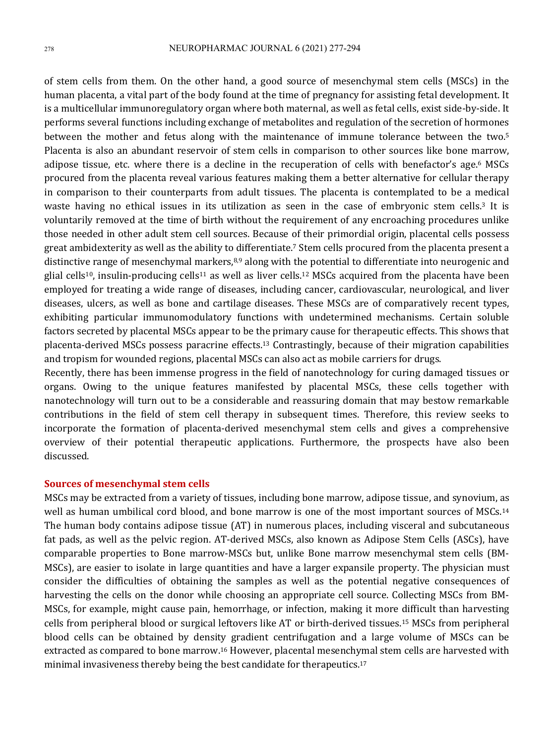of stem cells from them. On the other hand, a good source of mesenchymal stem cells (MSCs) in the human placenta, a vital part of the body found at the time of pregnancy for assisting fetal development. It is a multicellular immunoregulatory organ where both maternal, as well as fetal cells, exist side-by-side. It performs several functions including exchange of metabolites and regulation of the secretion of hormones between the mother and fetus along with the maintenance of immune tolerance between the two.<sup>5</sup> Placenta is also an abundant reservoir of stem cells in comparison to other sources like bone marrow, adipose tissue, etc. where there is a decline in the recuperation of cells with benefactor's age.<sup>6</sup> MSCs procured from the placenta reveal various features making them a better alternative for cellular therapy in comparison to their counterparts from adult tissues. The placenta is contemplated to be a medical waste having no ethical issues in its utilization as seen in the case of embryonic stem cells.<sup>3</sup> It is voluntarily removed at the time of birth without the requirement of any encroaching procedures unlike those needed in other adult stem cell sources. Because of their primordial origin, placental cells possess great ambidexterity as well as the ability to differentiate.<sup>7</sup> Stem cells procured from the placenta present a distinctive range of mesenchymal markers,<sup>8,9</sup> along with the potential to differentiate into neurogenic and glial cells<sup>10</sup>, insulin-producing cells<sup>11</sup> as well as liver cells.<sup>12</sup> MSCs acquired from the placenta have been employed for treating a wide range of diseases, including cancer, cardiovascular, neurological, and liver diseases, ulcers, as well as bone and cartilage diseases. These MSCs are of comparatively recent types, exhibiting particular immunomodulatory functions with undetermined mechanisms. Certain soluble factors secreted by placental MSCs appear to be the primary cause for therapeutic effects. This shows that placenta-derived MSCs possess paracrine effects.<sup>13</sup> Contrastingly, because of their migration capabilities and tropism for wounded regions, placental MSCs can also act as mobile carriers for drugs.

Recently, there has been immense progress in the field of nanotechnology for curing damaged tissues or organs. Owing to the unique features manifested by placental MSCs, these cells together with nanotechnology will turn out to be a considerable and reassuring domain that may bestow remarkable contributions in the field of stem cell therapy in subsequent times. Therefore, this review seeks to incorporate the formation of placenta-derived mesenchymal stem cells and gives a comprehensive overview of their potential therapeutic applications. Furthermore, the prospects have also been discussed.

#### **Sources of mesenchymal stem cells**

MSCs may be extracted from a variety of tissues, including bone marrow, adipose tissue, and synovium, as well as human umbilical cord blood, and bone marrow is one of the most important sources of MSCs.<sup>14</sup> The human body contains adipose tissue (AT) in numerous places, including visceral and subcutaneous fat pads, as well as the pelvic region. AT-derived MSCs, also known as Adipose Stem Cells (ASCs), have comparable properties to Bone marrow-MSCs but, unlike Bone marrow mesenchymal stem cells (BM-MSCs), are easier to isolate in large quantities and have a larger expansile property. The physician must consider the difficulties of obtaining the samples as well as the potential negative consequences of harvesting the cells on the donor while choosing an appropriate cell source. Collecting MSCs from BM-MSCs, for example, might cause pain, hemorrhage, or infection, making it more difficult than harvesting cells from peripheral blood or surgical leftovers like AT or birth-derived tissues.<sup>15</sup> MSCs from peripheral blood cells can be obtained by density gradient centrifugation and a large volume of MSCs can be extracted as compared to bone marrow.<sup>16</sup> However, placental mesenchymal stem cells are harvested with minimal invasiveness thereby being the best candidate for therapeutics.<sup>17</sup>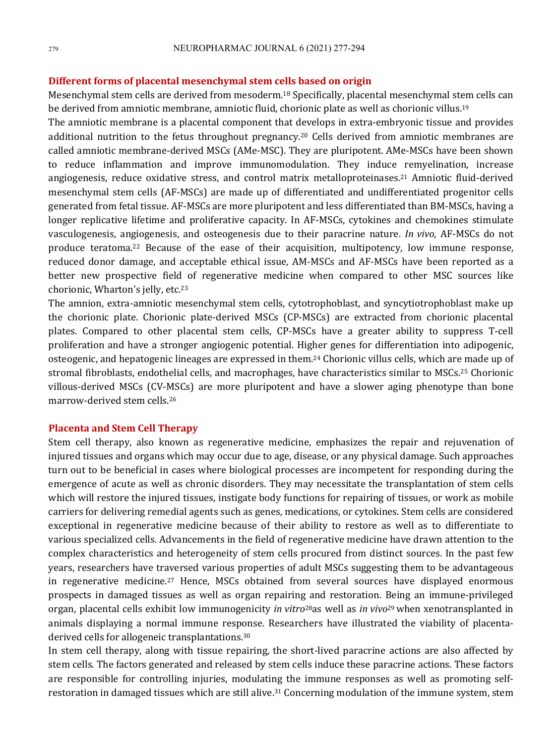# **Different forms of placental mesenchymal stem cells based on origin**

Mesenchymal stem cells are derived from mesoderm.<sup>18</sup> Specifically, placental mesenchymal stem cells can be derived from amniotic membrane, amniotic fluid, chorionic plate as well as chorionic villus.<sup>19</sup>

The amniotic membrane is a placental component that develops in extra-embryonic tissue and provides additional nutrition to the fetus throughout pregnancy.<sup>20</sup> Cells derived from amniotic membranes are called amniotic membrane-derived MSCs (AMe-MSC). They are pluripotent. AMe-MSCs have been shown to reduce inflammation and improve immunomodulation. They induce remyelination, increase angiogenesis, reduce oxidative stress, and control matrix metalloproteinases.<sup>21</sup> Amniotic fluid-derived mesenchymal stem cells (AF-MSCs) are made up of differentiated and undifferentiated progenitor cells generated from fetal tissue. AF-MSCs are more pluripotent and less differentiated than BM-MSCs, having a longer replicative lifetime and proliferative capacity. In AF-MSCs, cytokines and chemokines stimulate vasculogenesis, angiogenesis, and osteogenesis due to their paracrine nature. *In vivo*, AF-MSCs do not produce teratoma.<sup>22</sup> Because of the ease of their acquisition, multipotency, low immune response, reduced donor damage, and acceptable ethical issue, AM-MSCs and AF-MSCs have been reported as a better new prospective field of regenerative medicine when compared to other MSC sources like chorionic, Wharton's jelly, etc.<sup>23</sup>

The amnion, extra-amniotic mesenchymal stem cells, cytotrophoblast, and syncytiotrophoblast make up the chorionic plate. Chorionic plate-derived MSCs (CP-MSCs) are extracted from chorionic placental plates. Compared to other placental stem cells, CP-MSCs have a greater ability to suppress T-cell proliferation and have a stronger angiogenic potential. Higher genes for differentiation into adipogenic, osteogenic, and hepatogenic lineages are expressed in them.<sup>24</sup> Chorionic villus cells, which are made up of stromal fibroblasts, endothelial cells, and macrophages, have characteristics similar to MSCs.<sup>25</sup> Chorionic villous-derived MSCs (CV-MSCs) are more pluripotent and have a slower aging phenotype than bone marrow-derived stem cells.<sup>26</sup>

# **Placenta and Stem Cell Therapy**

Stem cell therapy, also known as regenerative medicine, emphasizes the repair and rejuvenation of injured tissues and organs which may occur due to age, disease, or any physical damage. Such approaches turn out to be beneficial in cases where biological processes are incompetent for responding during the emergence of acute as well as chronic disorders. They may necessitate the transplantation of stem cells which will restore the injured tissues, instigate body functions for repairing of tissues, or work as mobile carriers for delivering remedial agents such as genes, medications, or cytokines. Stem cells are considered exceptional in regenerative medicine because of their ability to restore as well as to differentiate to various specialized cells. Advancements in the field of regenerative medicine have drawn attention to the complex characteristics and heterogeneity of stem cells procured from distinct sources. In the past few years, researchers have traversed various properties of adult MSCs suggesting them to be advantageous in regenerative medicine.<sup>27</sup> Hence, MSCs obtained from several sources have displayed enormous prospects in damaged tissues as well as organ repairing and restoration. Being an immune-privileged organ, placental cells exhibit low immunogenicity *in vitro*<sup>28</sup>as well as *in vivo*<sup>29</sup> when xenotransplanted in animals displaying a normal immune response. Researchers have illustrated the viability of placentaderived cells for allogeneic transplantations.<sup>30</sup>

In stem cell therapy, along with tissue repairing, the short-lived paracrine actions are also affected by stem cells. The factors generated and released by stem cells induce these paracrine actions. These factors are responsible for controlling injuries, modulating the immune responses as well as promoting selfrestoration in damaged tissues which are still alive.<sup>31</sup> Concerning modulation of the immune system, stem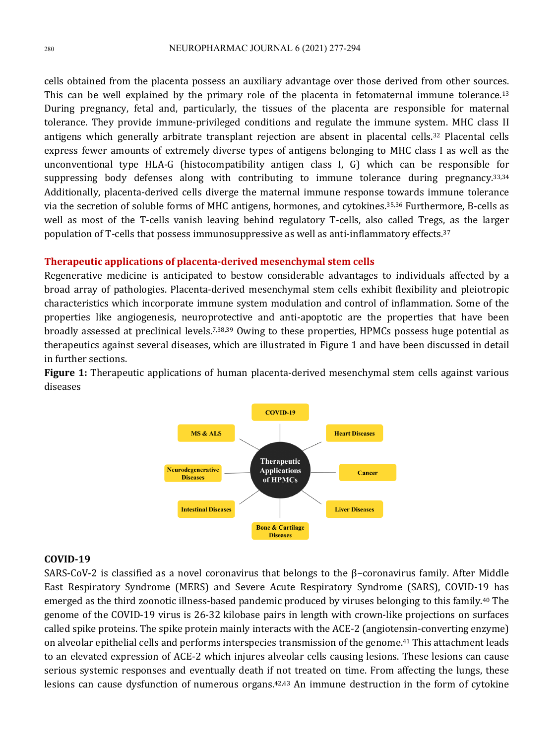cells obtained from the placenta possess an auxiliary advantage over those derived from other sources. This can be well explained by the primary role of the placenta in fetomaternal immune tolerance.<sup>13</sup> During pregnancy, fetal and, particularly, the tissues of the placenta are responsible for maternal tolerance. They provide immune-privileged conditions and regulate the immune system. MHC class II antigens which generally arbitrate transplant rejection are absent in placental cells.<sup>32</sup> Placental cells express fewer amounts of extremely diverse types of antigens belonging to MHC class I as well as the unconventional type  $HLA-G$  (histocompatibility antigen class I, G) which can be responsible for suppressing body defenses along with contributing to immune tolerance during pregnancy.<sup>33,34</sup> Additionally, placenta-derived cells diverge the maternal immune response towards immune tolerance via the secretion of soluble forms of MHC antigens, hormones, and cytokines.<sup>35,36</sup> Furthermore, B-cells as well as most of the T-cells vanish leaving behind regulatory T-cells, also called Tregs, as the larger population of T-cells that possess immunosuppressive as well as anti-inflammatory effects.<sup>37</sup>

#### **Therapeutic applications of placenta-derived mesenchymal stem cells**

Regenerative medicine is anticipated to bestow considerable advantages to individuals affected by a broad array of pathologies. Placenta-derived mesenchymal stem cells exhibit flexibility and pleiotropic characteristics which incorporate immune system modulation and control of inflammation. Some of the properties like angiogenesis, neuroprotective and anti-apoptotic are the properties that have been broadly assessed at preclinical levels.<sup>7,38,39</sup> Owing to these properties, HPMCs possess huge potential as therapeutics against several diseases, which are illustrated in Figure 1 and have been discussed in detail in further sections.

**Figure 1:** Therapeutic applications of human placenta-derived mesenchymal stem cells against various diseases



# **COVID-19**

SARS-CoV-2 is classified as a novel coronavirus that belongs to the  $\beta$ -coronavirus family. After Middle East Respiratory Syndrome (MERS) and Severe Acute Respiratory Syndrome (SARS), COVID-19 has emerged as the third zoonotic illness-based pandemic produced by viruses belonging to this family.<sup>40</sup> The genome of the COVID-19 virus is 26-32 kilobase pairs in length with crown-like projections on surfaces called spike proteins. The spike protein mainly interacts with the ACE-2 (angiotensin-converting enzyme) on alveolar epithelial cells and performs interspecies transmission of the genome.<sup>41</sup> This attachment leads to an elevated expression of ACE-2 which injures alveolar cells causing lesions. These lesions can cause serious systemic responses and eventually death if not treated on time. From affecting the lungs, these lesions can cause dysfunction of numerous organs. $42,43$  An immune destruction in the form of cytokine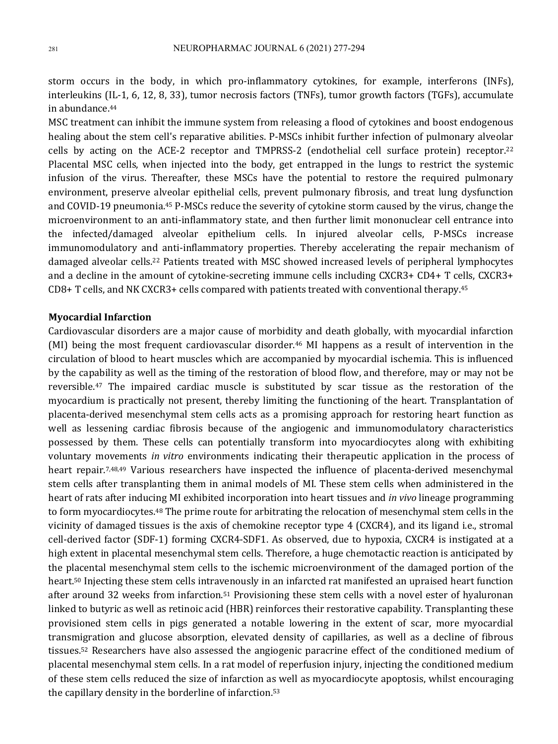storm occurs in the body, in which pro-inflammatory cytokines, for example, interferons (INFs), interleukins (IL-1, 6, 12, 8, 33), tumor necrosis factors (TNFs), tumor growth factors (TGFs), accumulate in abundance.<sup>44</sup>

MSC treatment can inhibit the immune system from releasing a flood of cytokines and boost endogenous healing about the stem cell's reparative abilities. P-MSCs inhibit further infection of pulmonary alveolar cells by acting on the ACE-2 receptor and TMPRSS-2 (endothelial cell surface protein) receptor.<sup>22</sup> Placental MSC cells, when injected into the body, get entrapped in the lungs to restrict the systemic infusion of the virus. Thereafter, these MSCs have the potential to restore the required pulmonary environment, preserve alveolar epithelial cells, prevent pulmonary fibrosis, and treat lung dysfunction and COVID-19 pneumonia.<sup>45</sup> P-MSCs reduce the severity of cytokine storm caused by the virus, change the microenvironment to an anti-inflammatory state, and then further limit mononuclear cell entrance into the infected/damaged alveolar epithelium cells. In injured alveolar cells, P-MSCs increase immunomodulatory and anti-inflammatory properties. Thereby accelerating the repair mechanism of damaged alveolar cells.<sup>22</sup> Patients treated with MSC showed increased levels of peripheral lymphocytes and a decline in the amount of cytokine-secreting immune cells including  $CXCR3+CD4+T$  cells,  $CXCR3+$  $CD8+T$  cells, and NK CXCR3+ cells compared with patients treated with conventional therapy.<sup>45</sup>

#### **Myocardial Infarction**

Cardiovascular disorders are a major cause of morbidity and death globally, with myocardial infarction (MI) being the most frequent cardiovascular disorder.<sup>46</sup> MI happens as a result of intervention in the circulation of blood to heart muscles which are accompanied by myocardial ischemia. This is influenced by the capability as well as the timing of the restoration of blood flow, and therefore, may or may not be reversible.<sup>47</sup> The impaired cardiac muscle is substituted by scar tissue as the restoration of the myocardium is practically not present, thereby limiting the functioning of the heart. Transplantation of placenta-derived mesenchymal stem cells acts as a promising approach for restoring heart function as well as lessening cardiac fibrosis because of the angiogenic and immunomodulatory characteristics possessed by them. These cells can potentially transform into myocardiocytes along with exhibiting voluntary movements *in vitro* environments indicating their therapeutic application in the process of heart repair.<sup>7,48,49</sup> Various researchers have inspected the influence of placenta-derived mesenchymal stem cells after transplanting them in animal models of MI. These stem cells when administered in the heart of rats after inducing MI exhibited incorporation into heart tissues and *in vivo* lineage programming to form myocardiocytes.<sup>48</sup> The prime route for arbitrating the relocation of mesenchymal stem cells in the vicinity of damaged tissues is the axis of chemokine receptor type  $4$  (CXCR4), and its ligand i.e., stromal cell-derived factor (SDF-1) forming CXCR4-SDF1. As observed, due to hypoxia, CXCR4 is instigated at a high extent in placental mesenchymal stem cells. Therefore, a huge chemotactic reaction is anticipated by the placental mesenchymal stem cells to the ischemic microenvironment of the damaged portion of the heart.<sup>50</sup> Injecting these stem cells intravenously in an infarcted rat manifested an upraised heart function after around 32 weeks from infarction.<sup>51</sup> Provisioning these stem cells with a novel ester of hyaluronan linked to butyric as well as retinoic acid (HBR) reinforces their restorative capability. Transplanting these provisioned stem cells in pigs generated a notable lowering in the extent of scar, more myocardial transmigration and glucose absorption, elevated density of capillaries, as well as a decline of fibrous tissues.<sup>52</sup> Researchers have also assessed the angiogenic paracrine effect of the conditioned medium of placental mesenchymal stem cells. In a rat model of reperfusion injury, injecting the conditioned medium of these stem cells reduced the size of infarction as well as myocardiocyte apoptosis, whilst encouraging the capillary density in the borderline of infarction.<sup>53</sup>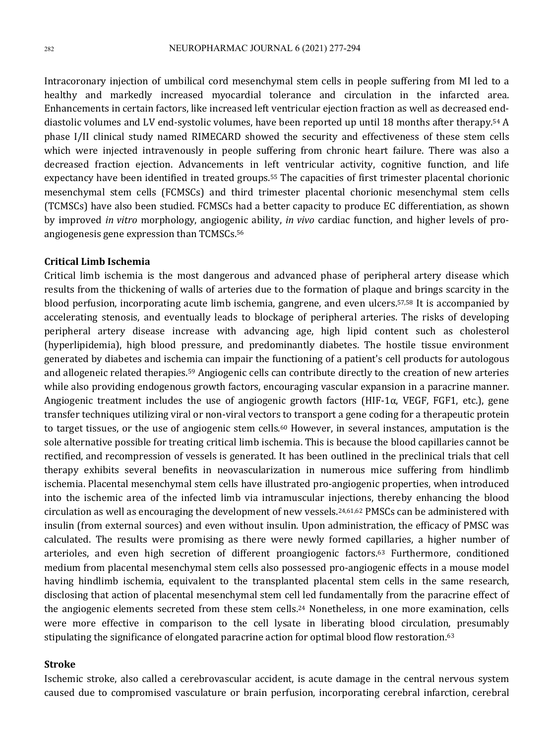Intracoronary injection of umbilical cord mesenchymal stem cells in people suffering from MI led to a healthy and markedly increased myocardial tolerance and circulation in the infarcted area. Enhancements in certain factors, like increased left ventricular ejection fraction as well as decreased enddiastolic volumes and LV end-systolic volumes, have been reported up until 18 months after therapy.<sup>54</sup> A phase I/II clinical study named RIMECARD showed the security and effectiveness of these stem cells which were injected intravenously in people suffering from chronic heart failure. There was also a decreased fraction ejection. Advancements in left ventricular activity, cognitive function, and life expectancy have been identified in treated groups.<sup>55</sup> The capacities of first trimester placental chorionic mesenchymal stem cells (FCMSCs) and third trimester placental chorionic mesenchymal stem cells (TCMSCs) have also been studied. FCMSCs had a better capacity to produce EC differentiation, as shown by improved *in vitro* morphology, angiogenic ability, *in vivo* cardiac function, and higher levels of proangiogenesis gene expression than  $TCMSCs.56$ 

# **Critical Limb Ischemia**

Critical limb ischemia is the most dangerous and advanced phase of peripheral artery disease which results from the thickening of walls of arteries due to the formation of plaque and brings scarcity in the blood perfusion, incorporating acute limb ischemia, gangrene, and even ulcers.<sup>57,58</sup> It is accompanied by accelerating stenosis, and eventually leads to blockage of peripheral arteries. The risks of developing peripheral artery disease increase with advancing age, high lipid content such as cholesterol (hyperlipidemia), high blood pressure, and predominantly diabetes. The hostile tissue environment generated by diabetes and ischemia can impair the functioning of a patient's cell products for autologous and allogeneic related therapies.<sup>59</sup> Angiogenic cells can contribute directly to the creation of new arteries while also providing endogenous growth factors, encouraging vascular expansion in a paracrine manner. Angiogenic treatment includes the use of angiogenic growth factors (HIF-1 $\alpha$ , VEGF, FGF1, etc.), gene transfer techniques utilizing viral or non-viral vectors to transport a gene coding for a therapeutic protein to target tissues, or the use of angiogenic stem cells.<sup>60</sup> However, in several instances, amputation is the sole alternative possible for treating critical limb ischemia. This is because the blood capillaries cannot be rectified, and recompression of vessels is generated. It has been outlined in the preclinical trials that cell therapy exhibits several benefits in neovascularization in numerous mice suffering from hindlimb ischemia. Placental mesenchymal stem cells have illustrated pro-angiogenic properties, when introduced into the ischemic area of the infected limb via intramuscular injections, thereby enhancing the blood circulation as well as encouraging the development of new vessels.<sup>24,61,62</sup> PMSCs can be administered with insulin (from external sources) and even without insulin. Upon administration, the efficacy of PMSC was calculated. The results were promising as there were newly formed capillaries, a higher number of arterioles, and even high secretion of different proangiogenic factors.<sup>63</sup> Furthermore, conditioned medium from placental mesenchymal stem cells also possessed pro-angiogenic effects in a mouse model having hindlimb ischemia, equivalent to the transplanted placental stem cells in the same research, disclosing that action of placental mesenchymal stem cell led fundamentally from the paracrine effect of the angiogenic elements secreted from these stem cells.<sup>24</sup> Nonetheless, in one more examination, cells were more effective in comparison to the cell lysate in liberating blood circulation, presumably stipulating the significance of elongated paracrine action for optimal blood flow restoration. $63$ 

# **Stroke**

Ischemic stroke, also called a cerebrovascular accident, is acute damage in the central nervous system caused due to compromised vasculature or brain perfusion, incorporating cerebral infarction, cerebral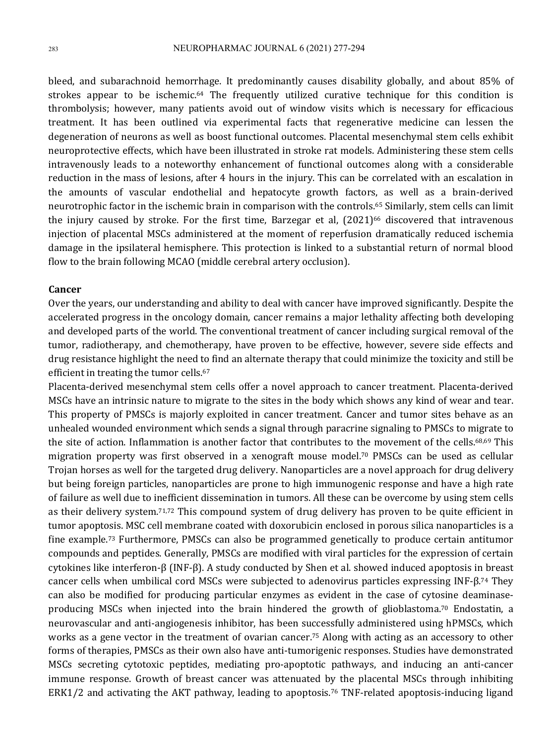bleed, and subarachnoid hemorrhage. It predominantly causes disability globally, and about 85% of strokes appear to be ischemic.<sup>64</sup> The frequently utilized curative technique for this condition is thrombolysis; however, many patients avoid out of window visits which is necessary for efficacious treatment. It has been outlined via experimental facts that regenerative medicine can lessen the degeneration of neurons as well as boost functional outcomes. Placental mesenchymal stem cells exhibit neuroprotective effects, which have been illustrated in stroke rat models. Administering these stem cells intravenously leads to a noteworthy enhancement of functional outcomes along with a considerable reduction in the mass of lesions, after 4 hours in the injury. This can be correlated with an escalation in the amounts of vascular endothelial and hepatocyte growth factors, as well as a brain-derived neurotrophic factor in the ischemic brain in comparison with the controls.<sup>65</sup> Similarly, stem cells can limit the injury caused by stroke. For the first time, Barzegar et al,  $(2021)^{66}$  discovered that intravenous injection of placental MSCs administered at the moment of reperfusion dramatically reduced ischemia damage in the ipsilateral hemisphere. This protection is linked to a substantial return of normal blood flow to the brain following MCAO (middle cerebral artery occlusion).

### **Cancer**

Over the years, our understanding and ability to deal with cancer have improved significantly. Despite the accelerated progress in the oncology domain, cancer remains a major lethality affecting both developing and developed parts of the world. The conventional treatment of cancer including surgical removal of the tumor, radiotherapy, and chemotherapy, have proven to be effective, however, severe side effects and drug resistance highlight the need to find an alternate therapy that could minimize the toxicity and still be efficient in treating the tumor cells.<sup>67</sup>

Placenta-derived mesenchymal stem cells offer a novel approach to cancer treatment. Placenta-derived MSCs have an intrinsic nature to migrate to the sites in the body which shows any kind of wear and tear. This property of PMSCs is majorly exploited in cancer treatment. Cancer and tumor sites behave as an unhealed wounded environment which sends a signal through paracrine signaling to PMSCs to migrate to the site of action. Inflammation is another factor that contributes to the movement of the cells.<sup>68,69</sup> This migration property was first observed in a xenograft mouse model.<sup>70</sup> PMSCs can be used as cellular Trojan horses as well for the targeted drug delivery. Nanoparticles are a novel approach for drug delivery but being foreign particles, nanoparticles are prone to high immunogenic response and have a high rate of failure as well due to inefficient dissemination in tumors. All these can be overcome by using stem cells as their delivery system.<sup>71,72</sup> This compound system of drug delivery has proven to be quite efficient in tumor apoptosis. MSC cell membrane coated with doxorubicin enclosed in porous silica nanoparticles is a fine example.<sup>73</sup> Furthermore, PMSCs can also be programmed genetically to produce certain antitumor compounds and peptides. Generally, PMSCs are modified with viral particles for the expression of certain cytokines like interferon-β (INF-β). A study conducted by Shen et al. showed induced apoptosis in breast cancer cells when umbilical cord MSCs were subjected to adenovirus particles expressing INF-β.<sup>74</sup> They can also be modified for producing particular enzymes as evident in the case of cytosine deaminaseproducing MSCs when injected into the brain hindered the growth of glioblastoma.<sup>70</sup> Endostatin, a neurovascular and anti-angiogenesis inhibitor, has been successfully administered using hPMSCs, which works as a gene vector in the treatment of ovarian cancer.<sup>75</sup> Along with acting as an accessory to other forms of therapies, PMSCs as their own also have anti-tumorigenic responses. Studies have demonstrated MSCs secreting cytotoxic peptides, mediating pro-apoptotic pathways, and inducing an anti-cancer immune response. Growth of breast cancer was attenuated by the placental MSCs through inhibiting ERK1/2 and activating the AKT pathway, leading to apoptosis.<sup>76</sup> TNF-related apoptosis-inducing ligand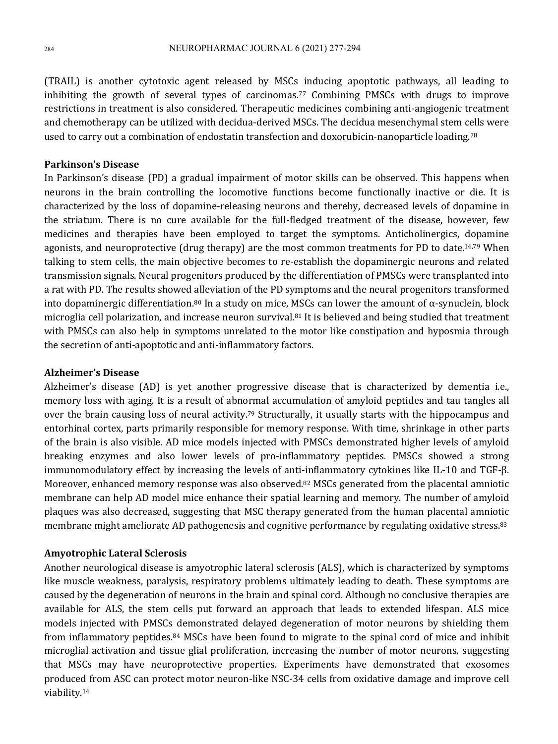(TRAIL) is another cytotoxic agent released by MSCs inducing apoptotic pathways, all leading to inhibiting the growth of several types of carcinomas.<sup>77</sup> Combining PMSCs with drugs to improve restrictions in treatment is also considered. Therapeutic medicines combining anti-angiogenic treatment and chemotherapy can be utilized with decidua-derived MSCs. The decidua mesenchymal stem cells were used to carry out a combination of endostatin transfection and doxorubicin-nanoparticle loading.<sup>78</sup>

# **Parkinson's Disease**

In Parkinson's disease (PD) a gradual impairment of motor skills can be observed. This happens when neurons in the brain controlling the locomotive functions become functionally inactive or die. It is characterized by the loss of dopamine-releasing neurons and thereby, decreased levels of dopamine in the striatum. There is no cure available for the full-fledged treatment of the disease, however, few medicines and therapies have been employed to target the symptoms. Anticholinergics, dopamine agonists, and neuroprotective (drug therapy) are the most common treatments for PD to date.<sup>14,79</sup> When talking to stem cells, the main objective becomes to re-establish the dopaminergic neurons and related transmission signals. Neural progenitors produced by the differentiation of PMSCs were transplanted into a rat with PD. The results showed alleviation of the PD symptoms and the neural progenitors transformed into dopaminergic differentiation.<sup>80</sup> In a study on mice, MSCs can lower the amount of  $\alpha$ -synuclein, block microglia cell polarization, and increase neuron survival.<sup>81</sup> It is believed and being studied that treatment with PMSCs can also help in symptoms unrelated to the motor like constipation and hyposmia through the secretion of anti-apoptotic and anti-inflammatory factors.

#### **Alzheimer's Disease**

Alzheimer's disease (AD) is yet another progressive disease that is characterized by dementia i.e., memory loss with aging. It is a result of abnormal accumulation of amyloid peptides and tau tangles all over the brain causing loss of neural activity.<sup>79</sup> Structurally, it usually starts with the hippocampus and entorhinal cortex, parts primarily responsible for memory response. With time, shrinkage in other parts of the brain is also visible. AD mice models injected with PMSCs demonstrated higher levels of amyloid breaking enzymes and also lower levels of pro-inflammatory peptides. PMSCs showed a strong immunomodulatory effect by increasing the levels of anti-inflammatory cytokines like IL-10 and TGF-β. Moreover, enhanced memory response was also observed.<sup>82</sup> MSCs generated from the placental amniotic membrane can help AD model mice enhance their spatial learning and memory. The number of amyloid plaques was also decreased, suggesting that MSC therapy generated from the human placental amniotic membrane might ameliorate AD pathogenesis and cognitive performance by regulating oxidative stress.<sup>83</sup>

# **Amyotrophic Lateral Sclerosis**

Another neurological disease is amyotrophic lateral sclerosis (ALS), which is characterized by symptoms like muscle weakness, paralysis, respiratory problems ultimately leading to death. These symptoms are caused by the degeneration of neurons in the brain and spinal cord. Although no conclusive therapies are available for ALS, the stem cells put forward an approach that leads to extended lifespan. ALS mice models injected with PMSCs demonstrated delayed degeneration of motor neurons by shielding them from inflammatory peptides.<sup>84</sup> MSCs have been found to migrate to the spinal cord of mice and inhibit microglial activation and tissue glial proliferation, increasing the number of motor neurons, suggesting that MSCs may have neuroprotective properties. Experiments have demonstrated that exosomes produced from ASC can protect motor neuron-like NSC-34 cells from oxidative damage and improve cell viability.14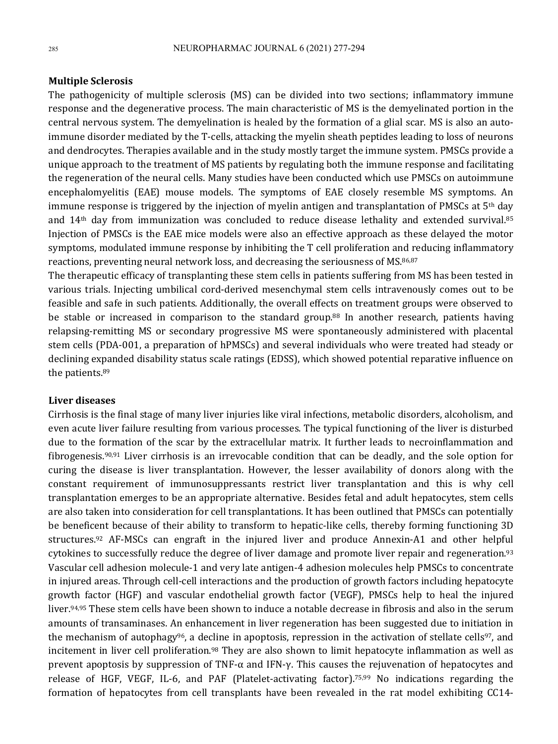#### **Multiple Sclerosis**

The pathogenicity of multiple sclerosis (MS) can be divided into two sections; inflammatory immune response and the degenerative process. The main characteristic of MS is the demyelinated portion in the central nervous system. The demyelination is healed by the formation of a glial scar. MS is also an autoimmune disorder mediated by the T-cells, attacking the myelin sheath peptides leading to loss of neurons and dendrocytes. Therapies available and in the study mostly target the immune system. PMSCs provide a unique approach to the treatment of MS patients by regulating both the immune response and facilitating the regeneration of the neural cells. Many studies have been conducted which use PMSCs on autoimmune encephalomyelitis (EAE) mouse models. The symptoms of EAE closely resemble MS symptoms. An immune response is triggered by the injection of myelin antigen and transplantation of PMSCs at 5<sup>th</sup> day and  $14<sup>th</sup>$  day from immunization was concluded to reduce disease lethality and extended survival.<sup>85</sup> Injection of PMSCs is the EAE mice models were also an effective approach as these delayed the motor symptoms, modulated immune response by inhibiting the T cell proliferation and reducing inflammatory reactions, preventing neural network loss, and decreasing the seriousness of MS.<sup>86,87</sup>

The therapeutic efficacy of transplanting these stem cells in patients suffering from MS has been tested in various trials. Injecting umbilical cord-derived mesenchymal stem cells intravenously comes out to be feasible and safe in such patients. Additionally, the overall effects on treatment groups were observed to be stable or increased in comparison to the standard group.<sup>88</sup> In another research, patients having relapsing-remitting MS or secondary progressive MS were spontaneously administered with placental stem cells (PDA-001, a preparation of hPMSCs) and several individuals who were treated had steady or declining expanded disability status scale ratings (EDSS), which showed potential reparative influence on the patients.<sup>89</sup>

# **Liver diseases**

Cirrhosis is the final stage of many liver injuries like viral infections, metabolic disorders, alcoholism, and even acute liver failure resulting from various processes. The typical functioning of the liver is disturbed due to the formation of the scar by the extracellular matrix. It further leads to necroinflammation and fibrogenesis.<sup>90,91</sup> Liver cirrhosis is an irrevocable condition that can be deadly, and the sole option for curing the disease is liver transplantation. However, the lesser availability of donors along with the constant requirement of immunosuppressants restrict liver transplantation and this is why cell transplantation emerges to be an appropriate alternative. Besides fetal and adult hepatocytes, stem cells are also taken into consideration for cell transplantations. It has been outlined that PMSCs can potentially be beneficent because of their ability to transform to hepatic-like cells, thereby forming functioning 3D structures.<sup>92</sup> AF-MSCs can engraft in the injured liver and produce Annexin-A1 and other helpful cytokines to successfully reduce the degree of liver damage and promote liver repair and regeneration.<sup>93</sup> Vascular cell adhesion molecule-1 and very late antigen-4 adhesion molecules help PMSCs to concentrate in injured areas. Through cell-cell interactions and the production of growth factors including hepatocyte growth factor (HGF) and vascular endothelial growth factor (VEGF), PMSCs help to heal the injured liver.<sup>94,95</sup> These stem cells have been shown to induce a notable decrease in fibrosis and also in the serum amounts of transaminases. An enhancement in liver regeneration has been suggested due to initiation in the mechanism of autophagy<sup>96</sup>, a decline in apoptosis, repression in the activation of stellate cells<sup>97</sup>, and incitement in liver cell proliferation.<sup>98</sup> They are also shown to limit hepatocyte inflammation as well as prevent apoptosis by suppression of TNF-α and IFN-γ. This causes the rejuvenation of hepatocytes and release of HGF, VEGF, IL-6, and PAF (Platelet-activating factor).<sup>75,99</sup> No indications regarding the formation of hepatocytes from cell transplants have been revealed in the rat model exhibiting CC14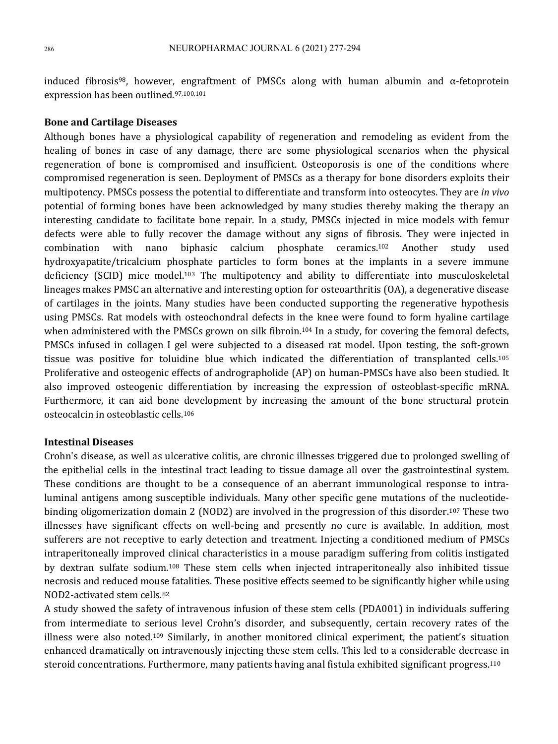induced fibrosis<sup>98</sup>, however, engraftment of PMSCs along with human albumin and  $\alpha$ -fetoprotein expression has been outlined.<sup>97,100,101</sup>

# **Bone and Cartilage Diseases**

Although bones have a physiological capability of regeneration and remodeling as evident from the healing of bones in case of any damage, there are some physiological scenarios when the physical regeneration of bone is compromised and insufficient. Osteoporosis is one of the conditions where compromised regeneration is seen. Deployment of PMSCs as a therapy for bone disorders exploits their multipotency. PMSCs possess the potential to differentiate and transform into osteocytes. They are *in vivo* potential of forming bones have been acknowledged by many studies thereby making the therapy an interesting candidate to facilitate bone repair. In a study, PMSCs injected in mice models with femur defects were able to fully recover the damage without any signs of fibrosis. They were injected in combination with nano biphasic calcium phosphate ceramics.<sup>102</sup> Another study used hydroxyapatite/tricalcium phosphate particles to form bones at the implants in a severe immune deficiency (SCID) mice model.<sup>103</sup> The multipotency and ability to differentiate into musculoskeletal lineages makes PMSC an alternative and interesting option for osteoarthritis  $(OA)$ , a degenerative disease of cartilages in the joints. Many studies have been conducted supporting the regenerative hypothesis using PMSCs. Rat models with osteochondral defects in the knee were found to form hyaline cartilage when administered with the PMSCs grown on silk fibroin.<sup>104</sup> In a study, for covering the femoral defects, PMSCs infused in collagen I gel were subjected to a diseased rat model. Upon testing, the soft-grown tissue was positive for toluidine blue which indicated the differentiation of transplanted cells.<sup>105</sup> Proliferative and osteogenic effects of andrographolide (AP) on human-PMSCs have also been studied. It also improved osteogenic differentiation by increasing the expression of osteoblast-specific mRNA. Furthermore, it can aid bone development by increasing the amount of the bone structural protein osteocalcin in osteoblastic cells.<sup>106</sup>

#### **Intestinal Diseases**

Crohn's disease, as well as ulcerative colitis, are chronic illnesses triggered due to prolonged swelling of the epithelial cells in the intestinal tract leading to tissue damage all over the gastrointestinal system. These conditions are thought to be a consequence of an aberrant immunological response to intraluminal antigens among susceptible individuals. Many other specific gene mutations of the nucleotidebinding oligomerization domain 2 (NOD2) are involved in the progression of this disorder.<sup>107</sup> These two illnesses have significant effects on well-being and presently no cure is available. In addition, most sufferers are not receptive to early detection and treatment. Injecting a conditioned medium of PMSCs intraperitoneally improved clinical characteristics in a mouse paradigm suffering from colitis instigated by dextran sulfate sodium.<sup>108</sup> These stem cells when injected intraperitoneally also inhibited tissue necrosis and reduced mouse fatalities. These positive effects seemed to be significantly higher while using NOD2-activated stem cells.<sup>82</sup>

A study showed the safety of intravenous infusion of these stem cells (PDA001) in individuals suffering from intermediate to serious level Crohn's disorder, and subsequently, certain recovery rates of the illness were also noted.<sup>109</sup> Similarly, in another monitored clinical experiment, the patient's situation enhanced dramatically on intravenously injecting these stem cells. This led to a considerable decrease in steroid concentrations. Furthermore, many patients having anal fistula exhibited significant progress.<sup>110</sup>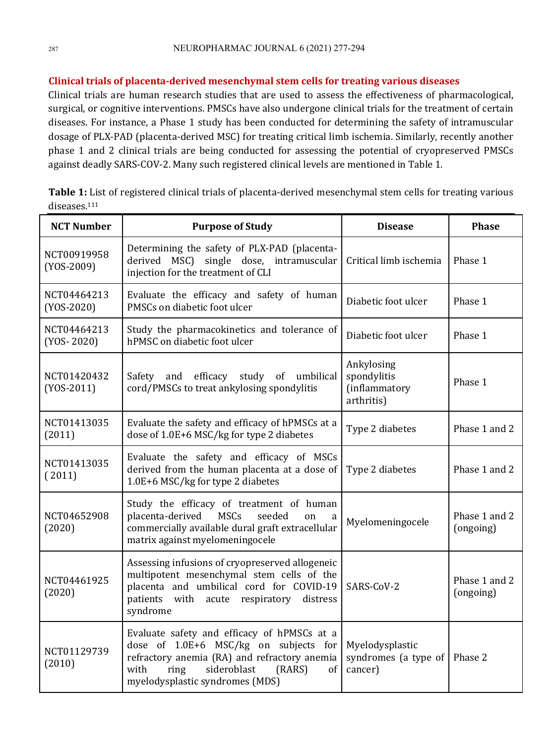# **Clinical trials of placenta-derived mesenchymal stem cells for treating various diseases**

Clinical trials are human research studies that are used to assess the effectiveness of pharmacological, surgical, or cognitive interventions. PMSCs have also undergone clinical trials for the treatment of certain diseases. For instance, a Phase 1 study has been conducted for determining the safety of intramuscular dosage of PLX-PAD (placenta-derived MSC) for treating critical limb ischemia. Similarly, recently another phase 1 and 2 clinical trials are being conducted for assessing the potential of cryopreserved PMSCs against deadly SARS-COV-2. Many such registered clinical levels are mentioned in Table 1.

| Table 1: List of registered clinical trials of placenta-derived mesenchymal stem cells for treating various |  |  |
|-------------------------------------------------------------------------------------------------------------|--|--|
| diseases. <sup>111</sup>                                                                                    |  |  |

| <b>NCT Number</b>           | <b>Purpose of Study</b>                                                                                                                                                                                                | <b>Disease</b>                                     | <b>Phase</b>               |
|-----------------------------|------------------------------------------------------------------------------------------------------------------------------------------------------------------------------------------------------------------------|----------------------------------------------------|----------------------------|
| NCT00919958<br>$(YOS-2009)$ | Determining the safety of PLX-PAD (placenta-<br>derived MSC) single dose, intramuscular<br>Critical limb ischemia<br>injection for the treatment of CLI                                                                |                                                    | Phase 1                    |
| NCT04464213<br>$(YOS-2020)$ | Evaluate the efficacy and safety of human<br>PMSCs on diabetic foot ulcer                                                                                                                                              | Diabetic foot ulcer                                | Phase 1                    |
| NCT04464213<br>$(YOS-2020)$ | Study the pharmacokinetics and tolerance of<br>hPMSC on diabetic foot ulcer                                                                                                                                            | Diabetic foot ulcer                                | Phase 1                    |
| NCT01420432<br>$(YOS-2011)$ | Ankylosing<br>spondylitis<br>Safety and efficacy study of umbilical<br>cord/PMSCs to treat ankylosing spondylitis<br>(inflammatory<br>arthritis)                                                                       |                                                    | Phase 1                    |
| NCT01413035<br>(2011)       | Evaluate the safety and efficacy of hPMSCs at a<br>dose of 1.0E+6 MSC/kg for type 2 diabetes                                                                                                                           | Type 2 diabetes                                    | Phase 1 and 2              |
| NCT01413035<br>(2011)       | Evaluate the safety and efficacy of MSCs<br>derived from the human placenta at a dose of<br>1.0E+6 MSC/kg for type 2 diabetes                                                                                          | Type 2 diabetes                                    | Phase 1 and 2              |
| NCT04652908<br>(2020)       | Study the efficacy of treatment of human<br>placenta-derived<br><b>MSCs</b><br>seeded<br>on<br>a<br>commercially available dural graft extracellular<br>matrix against myelomeningocele                                | Myelomeningocele                                   | Phase 1 and 2<br>(ongoing) |
| NCT04461925<br>(2020)       | Assessing infusions of cryopreserved allogeneic<br>multipotent mesenchymal stem cells of the<br>placenta and umbilical cord for COVID-19<br>SARS-CoV-2<br>patients with acute respiratory<br>distress<br>syndrome      |                                                    | Phase 1 and 2<br>(ongoing) |
| NCT01129739<br>(2010)       | Evaluate safety and efficacy of hPMSCs at a<br>dose of 1.0E+6 MSC/kg on subjects for<br>refractory anemia (RA) and refractory anemia<br>sideroblast<br>ring<br>(RARS)<br>with<br>of<br>myelodysplastic syndromes (MDS) | Myelodysplastic<br>syndromes (a type of<br>cancer) | Phase 2                    |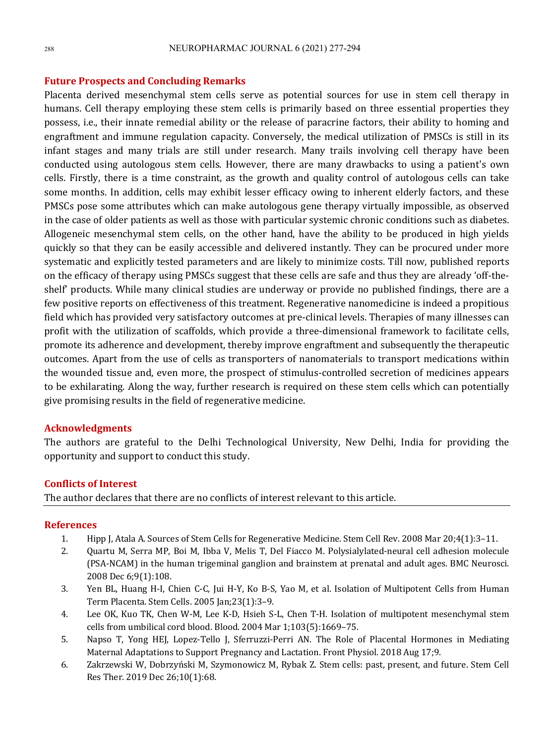#### **Future Prospects and Concluding Remarks**

Placenta derived mesenchymal stem cells serve as potential sources for use in stem cell therapy in humans. Cell therapy employing these stem cells is primarily based on three essential properties they possess, i.e., their innate remedial ability or the release of paracrine factors, their ability to homing and engraftment and immune regulation capacity. Conversely, the medical utilization of PMSCs is still in its infant stages and many trials are still under research. Many trails involving cell therapy have been conducted using autologous stem cells. However, there are many drawbacks to using a patient's own cells. Firstly, there is a time constraint, as the growth and quality control of autologous cells can take some months. In addition, cells may exhibit lesser efficacy owing to inherent elderly factors, and these PMSCs pose some attributes which can make autologous gene therapy virtually impossible, as observed in the case of older patients as well as those with particular systemic chronic conditions such as diabetes. Allogeneic mesenchymal stem cells, on the other hand, have the ability to be produced in high yields quickly so that they can be easily accessible and delivered instantly. They can be procured under more systematic and explicitly tested parameters and are likely to minimize costs. Till now, published reports on the efficacy of therapy using PMSCs suggest that these cells are safe and thus they are already 'off-theshelf' products. While many clinical studies are underway or provide no published findings, there are a few positive reports on effectiveness of this treatment. Regenerative nanomedicine is indeed a propitious field which has provided very satisfactory outcomes at pre-clinical levels. Therapies of many illnesses can profit with the utilization of scaffolds, which provide a three-dimensional framework to facilitate cells, promote its adherence and development, thereby improve engraftment and subsequently the therapeutic outcomes. Apart from the use of cells as transporters of nanomaterials to transport medications within the wounded tissue and, even more, the prospect of stimulus-controlled secretion of medicines appears to be exhilarating. Along the way, further research is required on these stem cells which can potentially give promising results in the field of regenerative medicine.

#### **Acknowledgments**

The authors are grateful to the Delhi Technological University, New Delhi, India for providing the opportunity and support to conduct this study.

#### **Conflicts of Interest**

The author declares that there are no conflicts of interest relevant to this article.

#### **References**

- 1. Hipp J, Atala A. Sources of Stem Cells for Regenerative Medicine. Stem Cell Rev. 2008 Mar 20;4(1):3-11.
- 2. Quartu M, Serra MP, Boi M, Ibba V, Melis T, Del Fiacco M. Polysialylated-neural cell adhesion molecule (PSA-NCAM) in the human trigeminal ganglion and brainstem at prenatal and adult ages. BMC Neurosci. 2008 Dec 6;9(1):108.
- 3. Yen BL, Huang H-I, Chien C-C, Jui H-Y, Ko B-S, Yao M, et al. Isolation of Multipotent Cells from Human Term Placenta. Stem Cells. 2005 Jan;23(1):3-9.
- 4. Lee OK, Kuo TK, Chen W-M, Lee K-D, Hsieh S-L, Chen T-H. Isolation of multipotent mesenchymal stem cells from umbilical cord blood. Blood.  $2004$  Mar  $1;103(5):1669-75$ .
- 5. Napso T, Yong HEJ, Lopez-Tello J, Sferruzzi-Perri AN. The Role of Placental Hormones in Mediating Maternal Adaptations to Support Pregnancy and Lactation. Front Physiol. 2018 Aug 17;9.
- 6. Zakrzewski W, Dobrzyński M, Szymonowicz M, Rybak Z. Stem cells: past, present, and future. Stem Cell Res Ther. 2019 Dec 26;10(1):68.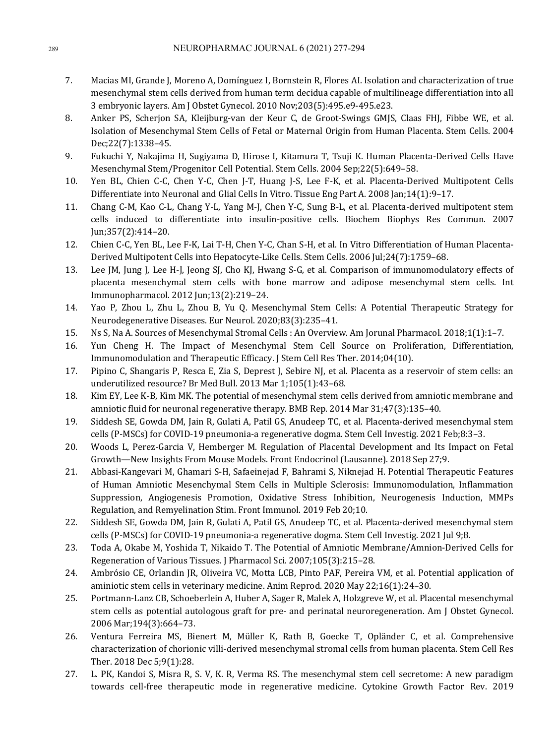- 7. Macias MI, Grande J, Moreno A, Domínguez I, Bornstein R, Flores AI. Isolation and characterization of true mesenchymal stem cells derived from human term decidua capable of multilineage differentiation into all 3 embryonic layers. Am J Obstet Gynecol. 2010 Nov;203(5):495.e9-495.e23.
- 8. Anker PS, Scherjon SA, Kleijburg-van der Keur C, de Groot-Swings GMJS, Claas FHJ, Fibbe WE, et al. Isolation of Mesenchymal Stem Cells of Fetal or Maternal Origin from Human Placenta. Stem Cells. 2004 Dec;22(7):1338–45.
- 9. Fukuchi Y, Nakajima H, Sugiyama D, Hirose I, Kitamura T, Tsuji K. Human Placenta-Derived Cells Have Mesenchymal Stem/Progenitor Cell Potential. Stem Cells. 2004 Sep;22(5):649-58.
- 10. Yen BL, Chien C-C, Chen Y-C, Chen J-T, Huang J-S, Lee F-K, et al. Placenta-Derived Multipotent Cells Differentiate into Neuronal and Glial Cells In Vitro. Tissue Eng Part A. 2008 [an;14(1):9-17.
- 11. Chang C-M, Kao C-L, Chang Y-L, Yang M-J, Chen Y-C, Sung B-L, et al. Placenta-derived multipotent stem cells induced to differentiate into insulin-positive cells. Biochem Biophys Res Commun. 2007 Jun;357(2):414–20.
- 12. Chien C-C, Yen BL, Lee F-K, Lai T-H, Chen Y-C, Chan S-H, et al. In Vitro Differentiation of Human Placenta-Derived Multipotent Cells into Hepatocyte-Like Cells. Stem Cells. 2006 Jul;24(7):1759-68.
- 13. Lee JM, Jung J, Lee H-J, Jeong SJ, Cho KJ, Hwang S-G, et al. Comparison of immunomodulatory effects of placenta mesenchymal stem cells with bone marrow and adipose mesenchymal stem cells. Int Immunopharmacol. 2012 Jun;13(2):219-24.
- 14. Yao P, Zhou L, Zhu L, Zhou B, Yu O, Mesenchymal Stem Cells: A Potential Therapeutic Strategy for Neurodegenerative Diseases. Eur Neurol. 2020;83(3):235-41.
- 15. Ns S, Na A. Sources of Mesenchymal Stromal Cells : An Overview. Am Jorunal Pharmacol. 2018;1(1):1–7.
- 16. Yun Cheng H. The Impact of Mesenchymal Stem Cell Source on Proliferation, Differentiation, Immunomodulation and Therapeutic Efficacy. J Stem Cell Res Ther. 2014;04(10).
- 17. Pipino C, Shangaris P, Resca E, Zia S, Deprest J, Sebire NJ, et al. Placenta as a reservoir of stem cells: an underutilized resource? Br Med Bull. 2013 Mar 1;105(1):43-68.
- 18. Kim EY, Lee K-B, Kim MK. The potential of mesenchymal stem cells derived from amniotic membrane and amniotic fluid for neuronal regenerative therapy. BMB Rep. 2014 Mar 31;47(3):135-40.
- 19. Siddesh SE, Gowda DM, Jain R, Gulati A, Patil GS, Anudeep TC, et al. Placenta-derived mesenchymal stem cells (P-MSCs) for COVID-19 pneumonia-a regenerative dogma. Stem Cell Investig. 2021 Feb;8:3–3.
- 20. Woods L, Perez-Garcia V, Hemberger M. Regulation of Placental Development and Its Impact on Fetal Growth—New Insights From Mouse Models. Front Endocrinol (Lausanne). 2018 Sep 27;9.
- 21. Abbasi-Kangevari M, Ghamari S-H, Safaeinejad F, Bahrami S, Niknejad H. Potential Therapeutic Features of Human Amniotic Mesenchymal Stem Cells in Multiple Sclerosis: Immunomodulation, Inflammation Suppression, Angiogenesis Promotion, Oxidative Stress Inhibition, Neurogenesis Induction, MMPs Regulation, and Remyelination Stim. Front Immunol. 2019 Feb 20;10.
- 22. Siddesh SE, Gowda DM, Jain R, Gulati A, Patil GS, Anudeep TC, et al. Placenta-derived mesenchymal stem cells (P-MSCs) for COVID-19 pneumonia-a regenerative dogma. Stem Cell Investig. 2021 Jul 9:8.
- 23. Toda A, Okabe M, Yoshida T, Nikaido T. The Potential of Amniotic Membrane/Amnion-Derived Cells for Regeneration of Various Tissues. J Pharmacol Sci. 2007;105(3):215-28.
- 24. Ambrósio CE, Orlandin JR, Oliveira VC, Motta LCB, Pinto PAF, Pereira VM, et al. Potential application of aminiotic stem cells in veterinary medicine. Anim Reprod. 2020 May 22;16(1):24-30.
- 25. Portmann-Lanz CB, Schoeberlein A, Huber A, Sager R, Malek A, Holzgreve W, et al. Placental mesenchymal stem cells as potential autologous graft for pre- and perinatal neuroregeneration. Am J Obstet Gynecol. 2006 Mar;194(3):664–73.
- 26. Ventura Ferreira MS, Bienert M, Müller K, Rath B, Goecke T, Opländer C, et al. Comprehensive characterization of chorionic villi-derived mesenchymal stromal cells from human placenta. Stem Cell Res Ther. 2018 Dec 5;9(1):28.
- 27. L. PK, Kandoi S, Misra R, S. V, K. R, Verma RS. The mesenchymal stem cell secretome: A new paradigm towards cell-free therapeutic mode in regenerative medicine. Cytokine Growth Factor Rev. 2019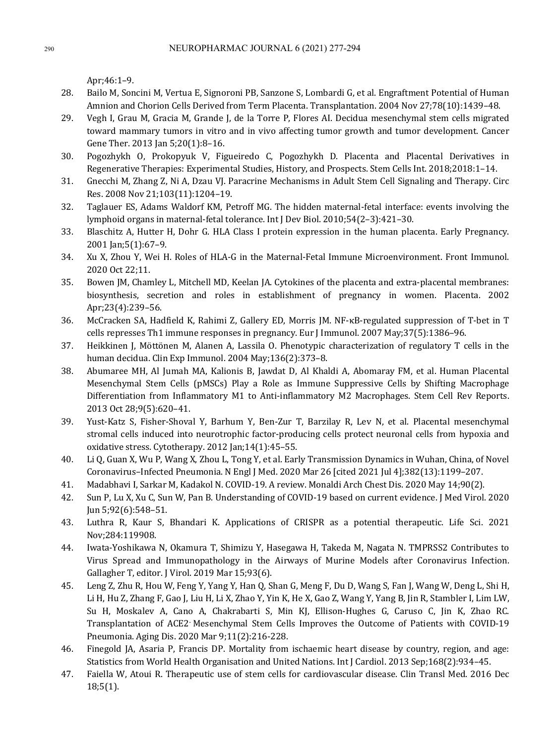Apr;46:1–9. 

- 28. Bailo M, Soncini M, Vertua E, Signoroni PB, Sanzone S, Lombardi G, et al. Engraftment Potential of Human Amnion and Chorion Cells Derived from Term Placenta. Transplantation. 2004 Nov 27;78(10):1439-48.
- 29. Vegh I, Grau M, Gracia M, Grande J, de la Torre P, Flores AI. Decidua mesenchymal stem cells migrated toward mammary tumors in vitro and in vivo affecting tumor growth and tumor development. Cancer Gene Ther. 2013 Jan 5;20(1):8-16.
- 30. Pogozhykh O, Prokopyuk V, Figueiredo C, Pogozhykh D. Placenta and Placental Derivatives in Regenerative Therapies: Experimental Studies, History, and Prospects. Stem Cells Int. 2018;2018:1-14.
- 31. Gnecchi M, Zhang Z, Ni A, Dzau VJ. Paracrine Mechanisms in Adult Stem Cell Signaling and Therapy. Circ Res. 2008 Nov 21;103(11):1204–19.
- 32. Taglauer ES, Adams Waldorf KM, Petroff MG. The hidden maternal-fetal interface: events involving the lymphoid organs in maternal-fetal tolerance. Int J Dev Biol. 2010;54(2–3):421–30.
- 33. Blaschitz A, Hutter H, Dohr G. HLA Class I protein expression in the human placenta. Early Pregnancy. 2001 Jan;5(1):67-9.
- 34. Xu X, Zhou Y, Wei H, Roles of HLA-G in the Maternal-Fetal Immune Microenvironment. Front Immunol. 2020 Oct 22;11.
- 35. Bowen JM, Chamley L, Mitchell MD, Keelan JA. Cytokines of the placenta and extra-placental membranes: biosynthesis, secretion and roles in establishment of pregnancy in women. Placenta. 2002 Apr;23(4):239–56.
- 36. McCracken SA, Hadfield K, Rahimi Z, Gallery ED, Morris JM. NF-kB-regulated suppression of T-bet in T cells represses Th1 immune responses in pregnancy. Eur J Immunol. 2007 May;37(5):1386-96.
- 37. Heikkinen J, Möttönen M, Alanen A, Lassila O. Phenotypic characterization of regulatory T cells in the human decidua. Clin Exp Immunol. 2004 May;136(2):373-8.
- 38. Abumaree MH, Al Jumah MA, Kalionis B, Jawdat D, Al Khaldi A, Abomaray FM, et al. Human Placental Mesenchymal Stem Cells (pMSCs) Play a Role as Immune Suppressive Cells by Shifting Macrophage Differentiation from Inflammatory M1 to Anti-inflammatory M2 Macrophages. Stem Cell Rev Reports. 2013 Oct 28;9(5):620–41.
- 39. Yust-Katz S, Fisher-Shoval Y, Barhum Y, Ben-Zur T, Barzilay R, Lev N, et al. Placental mesenchymal stromal cells induced into neurotrophic factor-producing cells protect neuronal cells from hypoxia and oxidative stress. Cytotherapy. 2012 Jan;14(1):45-55.
- 40. Li Q, Guan X, Wu P, Wang X, Zhou L, Tong Y, et al. Early Transmission Dynamics in Wuhan, China, of Novel Coronavirus-Infected Pneumonia. N Engl J Med. 2020 Mar 26 [cited 2021 Jul 4];382(13):1199-207.
- 41. Madabhavi I, Sarkar M, Kadakol N. COVID-19. A review. Monaldi Arch Chest Dis. 2020 May 14;90(2).
- 42. Sun P, Lu X, Xu C, Sun W, Pan B. Understanding of COVID-19 based on current evidence. J Med Virol. 2020 Jun 5;92(6):548–51.
- 43. Luthra R, Kaur S, Bhandari K. Applications of CRISPR as a potential therapeutic. Life Sci. 2021 Nov;284:119908.
- 44. Iwata-Yoshikawa N, Okamura T, Shimizu Y, Hasegawa H, Takeda M, Nagata N, TMPRSS2 Contributes to Virus Spread and Immunopathology in the Airways of Murine Models after Coronavirus Infection. Gallagher T, editor. J Virol. 2019 Mar 15;93(6).
- 45. Leng Z, Zhu R, Hou W, Feng Y, Yang Y, Han Q, Shan G, Meng F, Du D, Wang S, Fan J, Wang W, Deng L, Shi H, Li H, Hu Z, Zhang F, Gao J, Liu H, Li X, Zhao Y, Yin K, He X, Gao Z, Wang Y, Yang B, Jin R, Stambler I, Lim LW, Su H, Moskalev A, Cano A, Chakrabarti S, Min KJ, Ellison-Hughes G, Caruso C, Jin K, Zhao RC. Transplantation of ACE2 Mesenchymal Stem Cells Improves the Outcome of Patients with COVID-19 Pneumonia. Aging Dis. 2020 Mar 9;11(2):216-228.
- 46. Finegold JA, Asaria P, Francis DP. Mortality from ischaemic heart disease by country, region, and age: Statistics from World Health Organisation and United Nations. Int J Cardiol. 2013 Sep;168(2):934–45.
- 47. Faiella W, Atoui R. Therapeutic use of stem cells for cardiovascular disease. Clin Transl Med. 2016 Dec 18;5(1).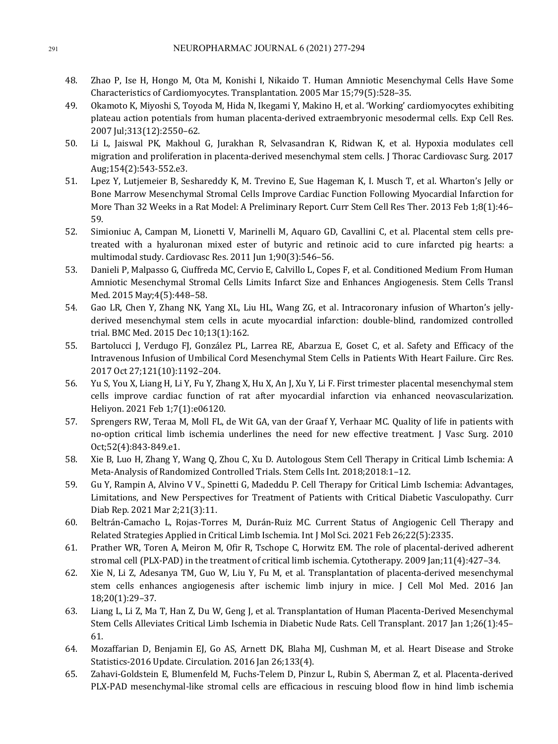- 48. Zhao P, Ise H, Hongo M, Ota M, Konishi I, Nikaido T. Human Amniotic Mesenchymal Cells Have Some Characteristics of Cardiomyocytes. Transplantation. 2005 Mar 15;79(5):528-35.
- 49. Okamoto K, Miyoshi S, Toyoda M, Hida N, Ikegami Y, Makino H, et al. 'Working' cardiomyocytes exhibiting plateau action potentials from human placenta-derived extraembryonic mesodermal cells. Exp Cell Res. 2007 Jul;313(12):2550–62.
- 50. Li L, Jaiswal PK, Makhoul G, Jurakhan R, Selvasandran K, Ridwan K, et al. Hypoxia modulates cell migration and proliferation in placenta-derived mesenchymal stem cells. [Thorac Cardiovasc Surg. 2017 Aug;154(2):543-552.e3.
- 51. Lpez Y, Lutjemeier B, Seshareddy K, M. Trevino E, Sue Hageman K, I. Musch T, et al. Wharton's Jelly or Bone Marrow Mesenchymal Stromal Cells Improve Cardiac Function Following Myocardial Infarction for More Than 32 Weeks in a Rat Model: A Preliminary Report. Curr Stem Cell Res Ther. 2013 Feb 1;8(1):46-59.
- 52. Simioniuc A, Campan M, Lionetti V, Marinelli M, Aquaro GD, Cavallini C, et al. Placental stem cells pretreated with a hyaluronan mixed ester of butyric and retinoic acid to cure infarcted pig hearts: a multimodal study. Cardiovasc Res. 2011 Jun 1;90(3):546-56.
- 53. Danieli P, Malpasso G, Ciuffreda MC, Cervio E, Calvillo L, Copes F, et al. Conditioned Medium From Human Amniotic Mesenchymal Stromal Cells Limits Infarct Size and Enhances Angiogenesis. Stem Cells Transl Med. 2015 May; 4(5): 448-58.
- 54. Gao LR, Chen Y, Zhang NK, Yang XL, Liu HL, Wang ZG, et al. Intracoronary infusion of Wharton's jellyderived mesenchymal stem cells in acute myocardial infarction: double-blind, randomized controlled trial. BMC Med. 2015 Dec 10;13(1):162.
- 55. Bartolucci J, Verdugo FJ, González PL, Larrea RE, Abarzua E, Goset C, et al. Safety and Efficacy of the Intravenous Infusion of Umbilical Cord Mesenchymal Stem Cells in Patients With Heart Failure. Circ Res. 2017 Oct 27;121(10):1192–204.
- 56. Yu S, You X, Liang H, Li Y, Fu Y, Zhang X, Hu X, An J, Xu Y, Li F. First trimester placental mesenchymal stem cells improve cardiac function of rat after myocardial infarction via enhanced neovascularization. Heliyon. 2021 Feb 1;7(1):e06120.
- 57. Sprengers RW, Teraa M, Moll FL, de Wit GA, van der Graaf Y, Verhaar MC. Quality of life in patients with no-option critical limb ischemia underlines the need for new effective treatment. I Vasc Surg. 2010 Oct;52(4):843-849.e1.
- 58. Xie B, Luo H, Zhang Y, Wang Q, Zhou C, Xu D. Autologous Stem Cell Therapy in Critical Limb Ischemia: A Meta-Analysis of Randomized Controlled Trials. Stem Cells Int. 2018;2018:1-12.
- 59. Gu Y, Rampin A, Alvino V V., Spinetti G, Madeddu P. Cell Therapy for Critical Limb Ischemia: Advantages, Limitations, and New Perspectives for Treatment of Patients with Critical Diabetic Vasculopathy. Curr Diab Rep. 2021 Mar 2;21(3):11.
- 60. Beltrán-Camacho L, Rojas-Torres M, Durán-Ruiz MC. Current Status of Angiogenic Cell Therapy and Related Strategies Applied in Critical Limb Ischemia. Int J Mol Sci. 2021 Feb 26;22(5):2335.
- 61. Prather WR, Toren A, Meiron M, Ofir R, Tschope C, Horwitz EM. The role of placental-derived adherent stromal cell (PLX-PAD) in the treatment of critical limb ischemia. Cytotherapy. 2009 [an;11(4):427-34.
- 62. Xie N, Li Z, Adesanya TM, Guo W, Liu Y, Fu M, et al. Transplantation of placenta-derived mesenchymal stem cells enhances angiogenesis after ischemic limb injury in mice. J Cell Mol Med. 2016 Jan 18;20(1):29–37.
- 63. Liang L, Li Z, Ma T, Han Z, Du W, Geng J, et al. Transplantation of Human Placenta-Derived Mesenchymal Stem Cells Alleviates Critical Limb Ischemia in Diabetic Nude Rats. Cell Transplant. 2017 Jan 1;26(1):45– 61.
- 64. Mozaffarian D, Benjamin EJ, Go AS, Arnett DK, Blaha MJ, Cushman M, et al. Heart Disease and Stroke Statistics-2016 Update. Circulation. 2016 Jan 26;133(4).
- 65. Zahavi-Goldstein E, Blumenfeld M, Fuchs-Telem D, Pinzur L, Rubin S, Aberman Z, et al. Placenta-derived PLX-PAD mesenchymal-like stromal cells are efficacious in rescuing blood flow in hind limb ischemia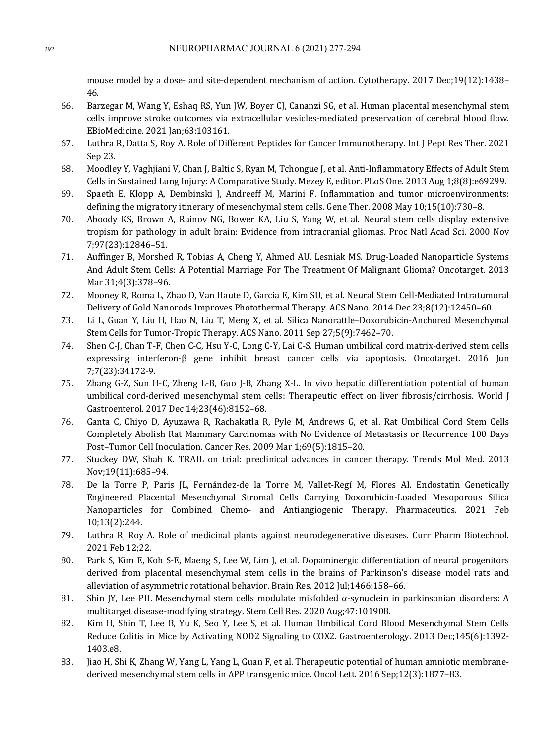mouse model by a dose- and site-dependent mechanism of action. Cytotherapy. 2017 Dec;19(12):1438– 46. 

- 66. Barzegar M, Wang Y, Eshaq RS, Yun JW, Boyer CJ, Cananzi SG, et al. Human placental mesenchymal stem cells improve stroke outcomes via extracellular vesicles-mediated preservation of cerebral blood flow. EBioMedicine. 2021 Jan;63:103161.
- 67. Luthra R, Datta S, Roy A. Role of Different Peptides for Cancer Immunotherapy. Int J Pept Res Ther. 2021 Sep 23.
- 68. Moodley Y, Vaghjiani V, Chan J, Baltic S, Ryan M, Tchongue J, et al. Anti-Inflammatory Effects of Adult Stem Cells in Sustained Lung Injury: A Comparative Study. Mezey E, editor. PLoS One. 2013 Aug 1;8(8):e69299.
- 69. Spaeth E, Klopp A, Dembinski J, Andreeff M, Marini F. Inflammation and tumor microenvironments: defining the migratory itinerary of mesenchymal stem cells. Gene Ther. 2008 May 10;15(10):730-8.
- 70. Aboody KS, Brown A, Rainov NG, Bower KA, Liu S, Yang W, et al. Neural stem cells display extensive tropism for pathology in adult brain: Evidence from intracranial gliomas. Proc Natl Acad Sci. 2000 Nov 7;97(23):12846–51.
- 71. Auffinger B, Morshed R, Tobias A, Cheng Y, Ahmed AU, Lesniak MS, Drug-Loaded Nanoparticle Systems And Adult Stem Cells: A Potential Marriage For The Treatment Of Malignant Glioma? Oncotarget. 2013 Mar 31:4(3):378-96.
- 72. Mooney R, Roma L, Zhao D, Van Haute D, Garcia E, Kim SU, et al. Neural Stem Cell-Mediated Intratumoral Delivery of Gold Nanorods Improves Photothermal Therapy. ACS Nano. 2014 Dec 23:8(12):12450-60.
- 73. Li L, Guan Y, Liu H, Hao N, Liu T, Meng X, et al. Silica Nanorattle–Doxorubicin-Anchored Mesenchymal Stem Cells for Tumor-Tropic Therapy. ACS Nano. 2011 Sep 27;5(9):7462-70.
- 74. Shen C-J, Chan T-F, Chen C-C, Hsu Y-C, Long C-Y, Lai C-S. Human umbilical cord matrix-derived stem cells expressing interferon-β gene inhibit breast cancer cells via apoptosis. Oncotarget. 2016 Jun 7;7(23):34172-9.
- 75. Zhang G-Z, Sun H-C, Zheng L-B, Guo J-B, Zhang X-L. In vivo hepatic differentiation potential of human umbilical cord-derived mesenchymal stem cells: Therapeutic effect on liver fibrosis/cirrhosis. World J Gastroenterol. 2017 Dec 14:23(46):8152-68.
- 76. Ganta C, Chiyo D, Ayuzawa R, Rachakatla R, Pyle M, Andrews G, et al. Rat Umbilical Cord Stem Cells Completely Abolish Rat Mammary Carcinomas with No Evidence of Metastasis or Recurrence 100 Days Post-Tumor Cell Inoculation. Cancer Res. 2009 Mar 1;69(5):1815-20.
- 77. Stuckey DW, Shah K. TRAIL on trial: preclinical advances in cancer therapy. Trends Mol Med. 2013 Nov;19(11):685–94.
- 78. De la Torre P, Paris JL, Fernández-de la Torre M, Vallet-Regí M, Flores AI. Endostatin Genetically Engineered Placental Mesenchymal Stromal Cells Carrying Doxorubicin-Loaded Mesoporous Silica Nanoparticles for Combined Chemo- and Antiangiogenic Therapy. Pharmaceutics. 2021 Feb 10;13(2):244.
- 79. Luthra R, Roy A. Role of medicinal plants against neurodegenerative diseases. Curr Pharm Biotechnol. 2021 Feb 12;22.
- 80. Park S, Kim E, Koh S-E, Maeng S, Lee W, Lim J, et al. Dopaminergic differentiation of neural progenitors derived from placental mesenchymal stem cells in the brains of Parkinson's disease model rats and alleviation of asymmetric rotational behavior. Brain Res. 2012 Jul;1466:158-66.
- 81. Shin IY, Lee PH. Mesenchymal stem cells modulate misfolded  $\alpha$ -synuclein in parkinsonian disorders: A multitarget disease-modifying strategy. Stem Cell Res. 2020 Aug;47:101908.
- 82. Kim H, Shin T, Lee B, Yu K, Seo Y, Lee S, et al. Human Umbilical Cord Blood Mesenchymal Stem Cells Reduce Colitis in Mice by Activating NOD2 Signaling to COX2. Gastroenterology. 2013 Dec;145(6):1392-1403.e8.
- 83. Jiao H, Shi K, Zhang W, Yang L, Yang L, Guan F, et al. Therapeutic potential of human amniotic membranederived mesenchymal stem cells in APP transgenic mice. Oncol Lett. 2016 Sep;12(3):1877-83.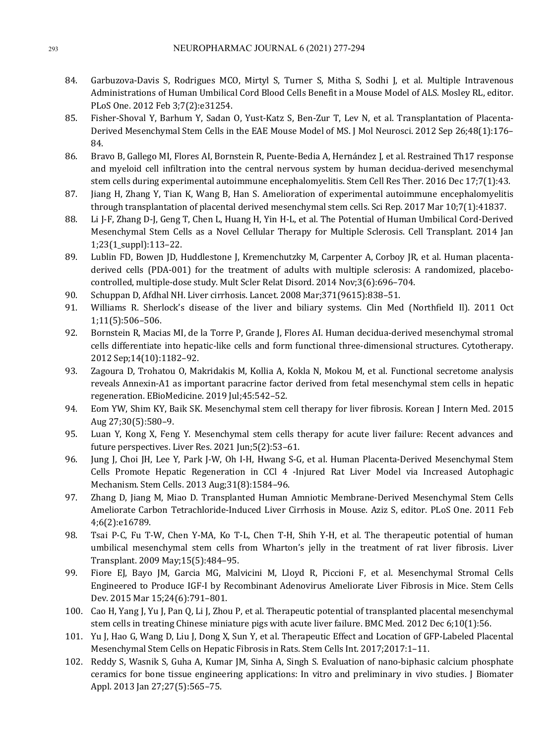- 84. Garbuzova-Davis S, Rodrigues MCO, Mirtyl S, Turner S, Mitha S, Sodhi J, et al. Multiple Intravenous Administrations of Human Umbilical Cord Blood Cells Benefit in a Mouse Model of ALS. Mosley RL, editor. PLoS One. 2012 Feb 3;7(2):e31254.
- 85. Fisher-Shoval Y, Barhum Y, Sadan O, Yust-Katz S, Ben-Zur T, Lev N, et al. Transplantation of Placenta-Derived Mesenchymal Stem Cells in the EAE Mouse Model of MS. J Mol Neurosci. 2012 Sep 26;48(1):176-84.
- 86. Bravo B, Gallego MI, Flores AI, Bornstein R, Puente-Bedia A, Hernández J, et al. Restrained Th17 response and myeloid cell infiltration into the central nervous system by human decidua-derived mesenchymal stem cells during experimental autoimmune encephalomyelitis. Stem Cell Res Ther. 2016 Dec 17;7(1):43.
- 87. Jiang H, Zhang Y, Tian K, Wang B, Han S. Amelioration of experimental autoimmune encephalomyelitis through transplantation of placental derived mesenchymal stem cells. Sci Rep. 2017 Mar 10;7(1):41837.
- 88. Li J-F, Zhang D-J, Geng T, Chen L, Huang H, Yin H-L, et al. The Potential of Human Umbilical Cord-Derived Mesenchymal Stem Cells as a Novel Cellular Therapy for Multiple Sclerosis. Cell Transplant. 2014 Jan 1;23(1\_suppl):113–22.
- 89. Lublin FD, Bowen JD, Huddlestone J, Kremenchutzky M, Carpenter A, Corboy JR, et al. Human placentaderived cells (PDA-001) for the treatment of adults with multiple sclerosis: A randomized, placebocontrolled, multiple-dose study. Mult Scler Relat Disord. 2014 Nov;3(6):696-704.
- 90. Schuppan D, Afdhal NH. Liver cirrhosis. Lancet. 2008 Mar;371(9615):838–51.
- 91. Williams R. Sherlock's disease of the liver and biliary systems. Clin Med (Northfield II). 2011 Oct 1;11(5):506–506.
- 92. Bornstein R, Macias MI, de la Torre P, Grande J, Flores AI. Human decidua-derived mesenchymal stromal cells differentiate into hepatic-like cells and form functional three-dimensional structures. Cytotherapy. 2012 Sep;14(10):1182–92.
- 93. Zagoura D, Trohatou O, Makridakis M, Kollia A, Kokla N, Mokou M, et al. Functional secretome analysis reveals Annexin-A1 as important paracrine factor derived from fetal mesenchymal stem cells in hepatic regeneration. EBioMedicine. 2019 Jul;45:542-52.
- 94. Eom YW, Shim KY, Baik SK. Mesenchymal stem cell therapy for liver fibrosis. Korean J Intern Med. 2015 Aug 27;30(5):580–9.
- 95. Luan Y, Kong X, Feng Y. Mesenchymal stem cells therapy for acute liver failure: Recent advances and future perspectives. Liver Res.  $2021$  Jun; $5(2)$ : $53-61$ .
- 96. Jung J, Choi JH, Lee Y, Park J-W, Oh I-H, Hwang S-G, et al. Human Placenta-Derived Mesenchymal Stem Cells Promote Hepatic Regeneration in CCl 4 -Injured Rat Liver Model via Increased Autophagic Mechanism. Stem Cells. 2013 Aug;31(8):1584-96.
- 97. Zhang D, Jiang M, Miao D. Transplanted Human Amniotic Membrane-Derived Mesenchymal Stem Cells Ameliorate Carbon Tetrachloride-Induced Liver Cirrhosis in Mouse. Aziz S, editor. PLoS One. 2011 Feb 4;6(2):e16789.
- 98. Tsai P-C, Fu T-W, Chen Y-MA, Ko T-L, Chen T-H, Shih Y-H, et al. The therapeutic potential of human umbilical mesenchymal stem cells from Wharton's jelly in the treatment of rat liver fibrosis. Liver Transplant. 2009 May;15(5):484–95.
- 99. Fiore EJ, Bayo JM, Garcia MG, Malvicini M, Lloyd R, Piccioni F, et al. Mesenchymal Stromal Cells Engineered to Produce IGF-I by Recombinant Adenovirus Ameliorate Liver Fibrosis in Mice. Stem Cells Dev. 2015 Mar 15;24(6):791-801.
- 100. Cao H, Yang J, Yu J, Pan Q, Li J, Zhou P, et al. Therapeutic potential of transplanted placental mesenchymal stem cells in treating Chinese miniature pigs with acute liver failure. BMC Med. 2012 Dec 6;10(1):56.
- 101. Yu J, Hao G, Wang D, Liu J, Dong X, Sun Y, et al. Therapeutic Effect and Location of GFP-Labeled Placental Mesenchymal Stem Cells on Hepatic Fibrosis in Rats. Stem Cells Int. 2017;2017:1-11.
- 102. Reddy S, Wasnik S, Guha A, Kumar JM, Sinha A, Singh S. Evaluation of nano-biphasic calcium phosphate ceramics for bone tissue engineering applications: In vitro and preliminary in vivo studies. J Biomater Appl. 2013 Jan 27;27(5):565-75.